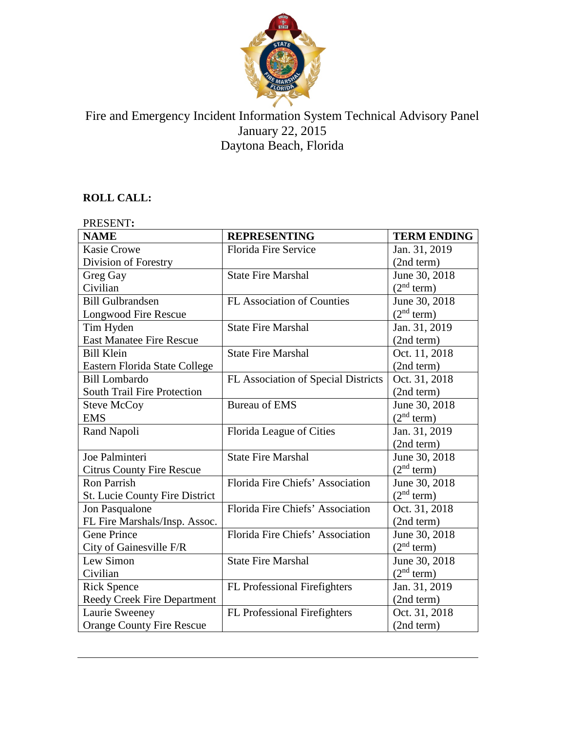

## Fire and Emergency Incident Information System Technical Advisory Panel January 22, 2015 Daytona Beach, Florida

# **ROLL CALL:**

| PRESENT:                              |                                     |                        |
|---------------------------------------|-------------------------------------|------------------------|
| <b>NAME</b>                           | <b>REPRESENTING</b>                 | <b>TERM ENDING</b>     |
| <b>Kasie Crowe</b>                    | Florida Fire Service                | Jan. 31, 2019          |
| Division of Forestry                  |                                     | (2nd term)             |
| Greg Gay                              | <b>State Fire Marshal</b>           | June 30, 2018          |
| Civilian                              |                                     | (2 <sup>nd</sup> term) |
| <b>Bill Gulbrandsen</b>               | FL Association of Counties          | June 30, 2018          |
| Longwood Fire Rescue                  |                                     | (2 <sup>nd</sup> term) |
| Tim Hyden                             | <b>State Fire Marshal</b>           | Jan. 31, 2019          |
| <b>East Manatee Fire Rescue</b>       |                                     | (2nd term)             |
| <b>Bill Klein</b>                     | <b>State Fire Marshal</b>           | Oct. 11, 2018          |
| Eastern Florida State College         |                                     | (2nd term)             |
| <b>Bill Lombardo</b>                  | FL Association of Special Districts | Oct. 31, 2018          |
| <b>South Trail Fire Protection</b>    |                                     | (2nd term)             |
| <b>Steve McCoy</b>                    | <b>Bureau of EMS</b>                | June 30, 2018          |
| <b>EMS</b>                            |                                     | (2 <sup>nd</sup> term) |
| Rand Napoli                           | Florida League of Cities            | Jan. 31, 2019          |
|                                       |                                     | (2nd term)             |
| Joe Palminteri                        | <b>State Fire Marshal</b>           | June 30, 2018          |
| <b>Citrus County Fire Rescue</b>      |                                     | (2 <sup>nd</sup> term) |
| <b>Ron Parrish</b>                    | Florida Fire Chiefs' Association    | June 30, 2018          |
| <b>St. Lucie County Fire District</b> |                                     | (2 <sup>nd</sup> term) |
| Jon Pasqualone                        | Florida Fire Chiefs' Association    | Oct. 31, 2018          |
| FL Fire Marshals/Insp. Assoc.         |                                     | (2nd term)             |
| <b>Gene Prince</b>                    | Florida Fire Chiefs' Association    | June 30, 2018          |
| City of Gainesville F/R               |                                     | (2 <sup>nd</sup> term) |
| Lew Simon                             | <b>State Fire Marshal</b>           | June 30, 2018          |
| Civilian                              |                                     | (2 <sup>nd</sup> term) |
| <b>Rick Spence</b>                    | FL Professional Firefighters        | Jan. 31, 2019          |
| <b>Reedy Creek Fire Department</b>    |                                     | (2nd term)             |
| Laurie Sweeney                        | FL Professional Firefighters        | Oct. 31, 2018          |
| <b>Orange County Fire Rescue</b>      |                                     | (2nd term)             |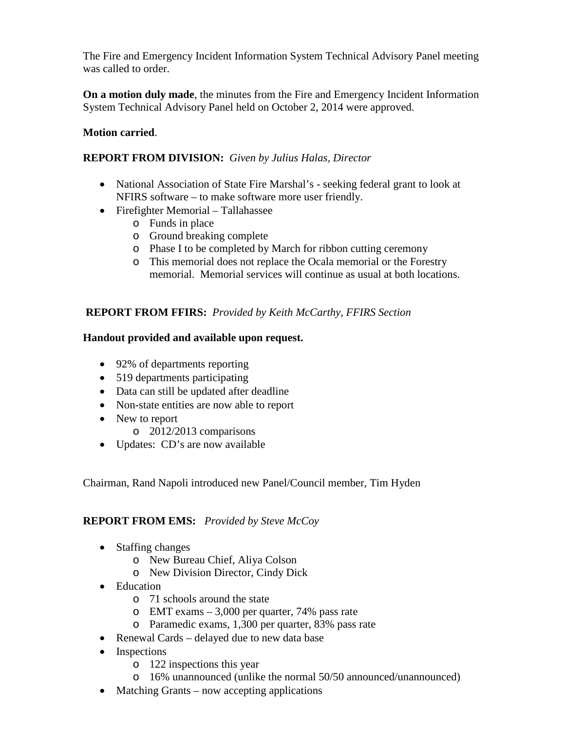The Fire and Emergency Incident Information System Technical Advisory Panel meeting was called to order.

**On a motion duly made**, the minutes from the Fire and Emergency Incident Information System Technical Advisory Panel held on October 2, 2014 were approved.

## **Motion carried**.

## **REPORT FROM DIVISION:** *Given by Julius Halas, Director*

- National Association of State Fire Marshal's seeking federal grant to look at NFIRS software – to make software more user friendly.
- Firefighter Memorial Tallahassee
	- o Funds in place
	- o Ground breaking complete
	- o Phase I to be completed by March for ribbon cutting ceremony
	- o This memorial does not replace the Ocala memorial or the Forestry memorial. Memorial services will continue as usual at both locations.

## **REPORT FROM FFIRS:** *Provided by Keith McCarthy, FFIRS Section*

## **Handout provided and available upon request.**

- 92% of departments reporting
- 519 departments participating
- Data can still be updated after deadline
- Non-state entities are now able to report
- New to report
	- o 2012/2013 comparisons
- Updates: CD's are now available

Chairman, Rand Napoli introduced new Panel/Council member, Tim Hyden

## **REPORT FROM EMS:** *Provided by Steve McCoy*

- Staffing changes
	- o New Bureau Chief, Aliya Colson
	- o New Division Director, Cindy Dick
- Education
	- o 71 schools around the state
	- o EMT exams 3,000 per quarter, 74% pass rate
	- o Paramedic exams, 1,300 per quarter, 83% pass rate
- Renewal Cards delayed due to new data base
- Inspections
	- o 122 inspections this year
	- o 16% unannounced (unlike the normal 50/50 announced/unannounced)
- Matching Grants now accepting applications